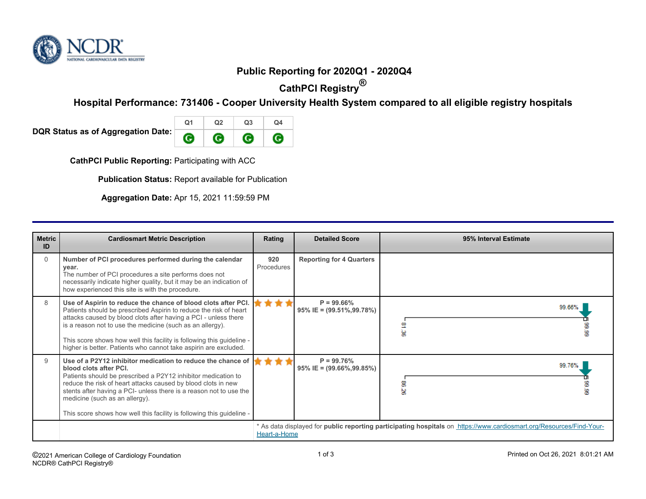

## **Public Reporting for 2020Q1 - 2020Q4**

**CathPCI Registry®**

**Hospital Performance: 731406 - Cooper University Health System compared to all eligible registry hospitals**

**DQR Status as of Aggregation Date:** 

| O <sub>1</sub> | ີ ລາ | Q <sub>3</sub> | Ω4 |
|----------------|------|----------------|----|
|                |      |                |    |

**CathPCI Public Reporting: Participating with ACC** 

**Publication Status:** Report available for Publication

**Aggregation Date:** Apr 15, 2021 11:59:59 PM

| <b>Metric</b><br>ID | <b>Cardiosmart Metric Description</b>                                                                                                                                                                                                                                                                                                                                                                           | Rating                                                                                                                               | <b>Detailed Score</b>                            | 95% Interval Estimate |
|---------------------|-----------------------------------------------------------------------------------------------------------------------------------------------------------------------------------------------------------------------------------------------------------------------------------------------------------------------------------------------------------------------------------------------------------------|--------------------------------------------------------------------------------------------------------------------------------------|--------------------------------------------------|-----------------------|
| $\Omega$            | Number of PCI procedures performed during the calendar<br>year.<br>The number of PCI procedures a site performs does not<br>necessarily indicate higher quality, but it may be an indication of<br>how experienced this site is with the procedure.                                                                                                                                                             | 920<br>Procedures                                                                                                                    | <b>Reporting for 4 Quarters</b>                  |                       |
| 8                   | Use of Aspirin to reduce the chance of blood clots after PCI.<br>Patients should be prescribed Aspirin to reduce the risk of heart<br>attacks caused by blood clots after having a PCI - unless there<br>is a reason not to use the medicine (such as an allergy).<br>This score shows how well this facility is following this guideline -<br>higher is better. Patients who cannot take aspirin are excluded. |                                                                                                                                      | $P = 99.66\%$<br>95% IE = $(99.51\%, 99.78\%)$   | 99.66%<br>옆<br>۱ġ     |
| 9                   | Use of a P2Y12 inhibitor medication to reduce the chance of<br>blood clots after PCI.<br>Patients should be prescribed a P2Y12 inhibitor medication to<br>reduce the risk of heart attacks caused by blood clots in new<br>stents after having a PCI- unless there is a reason not to use the<br>medicine (such as an allergy).<br>This score shows how well this facility is following this guideline -        |                                                                                                                                      | $P = 99.76%$<br>$95\%$ IE = $(99.66\%, 99.85\%)$ | 99.76%<br>8           |
|                     |                                                                                                                                                                                                                                                                                                                                                                                                                 | * As data displayed for public reporting participating hospitals on https://www.cardiosmart.org/Resources/Find-Your-<br>Heart-a-Home |                                                  |                       |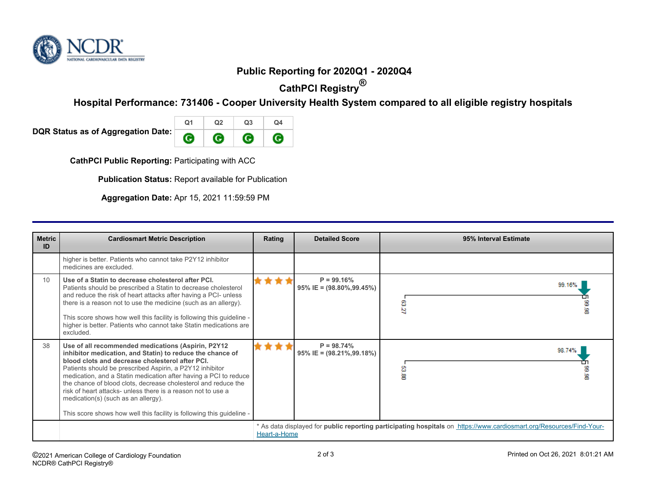

## **Public Reporting for 2020Q1 - 2020Q4**

**CathPCI Registry®**

**Hospital Performance: 731406 - Cooper University Health System compared to all eligible registry hospitals**

**DQR Status as of Aggregation Date:** 

| $\Omega$ 1 | מח | Q <sub>3</sub> | O4 |
|------------|----|----------------|----|
|            |    |                |    |

**CathPCI Public Reporting: Participating with ACC** 

**Publication Status:** Report available for Publication

**Aggregation Date:** Apr 15, 2021 11:59:59 PM

| <b>Metric</b><br>ID | <b>Cardiosmart Metric Description</b>                                                                                                                                                                                                                                                                                                                                                                                                                                                                                                                | Rating                                                                                                                               | <b>Detailed Score</b>                            | 95% Interval Estimate |
|---------------------|------------------------------------------------------------------------------------------------------------------------------------------------------------------------------------------------------------------------------------------------------------------------------------------------------------------------------------------------------------------------------------------------------------------------------------------------------------------------------------------------------------------------------------------------------|--------------------------------------------------------------------------------------------------------------------------------------|--------------------------------------------------|-----------------------|
|                     | higher is better. Patients who cannot take P2Y12 inhibitor<br>medicines are excluded.                                                                                                                                                                                                                                                                                                                                                                                                                                                                |                                                                                                                                      |                                                  |                       |
| 10                  | Use of a Statin to decrease cholesterol after PCI.<br>Patients should be prescribed a Statin to decrease cholesterol<br>and reduce the risk of heart attacks after having a PCI- unless<br>there is a reason not to use the medicine (such as an allergy).<br>This score shows how well this facility is following this guideline -<br>higher is better. Patients who cannot take Statin medications are<br>excluded.                                                                                                                                |                                                                                                                                      | $P = 99.16%$<br>$95\%$ IE = $(98.80\%, 99.45\%)$ | 99.16%<br>53.27       |
| 38                  | Use of all recommended medications (Aspirin, P2Y12<br>inhibitor medication, and Statin) to reduce the chance of<br>blood clots and decrease cholesterol after PCI.<br>Patients should be prescribed Aspirin, a P2Y12 inhibitor<br>medication, and a Statin medication after having a PCI to reduce<br>the chance of blood clots, decrease cholesterol and reduce the<br>risk of heart attacks- unless there is a reason not to use a<br>medication(s) (such as an allergy).<br>This score shows how well this facility is following this guideline - |                                                                                                                                      | $P = 98.74%$<br>$95\%$ IE = $(98.21\%, 99.18\%)$ | 98.74%<br>8<br>ğ      |
|                     |                                                                                                                                                                                                                                                                                                                                                                                                                                                                                                                                                      | * As data displayed for public reporting participating hospitals on https://www.cardiosmart.org/Resources/Find-Your-<br>Heart-a-Home |                                                  |                       |